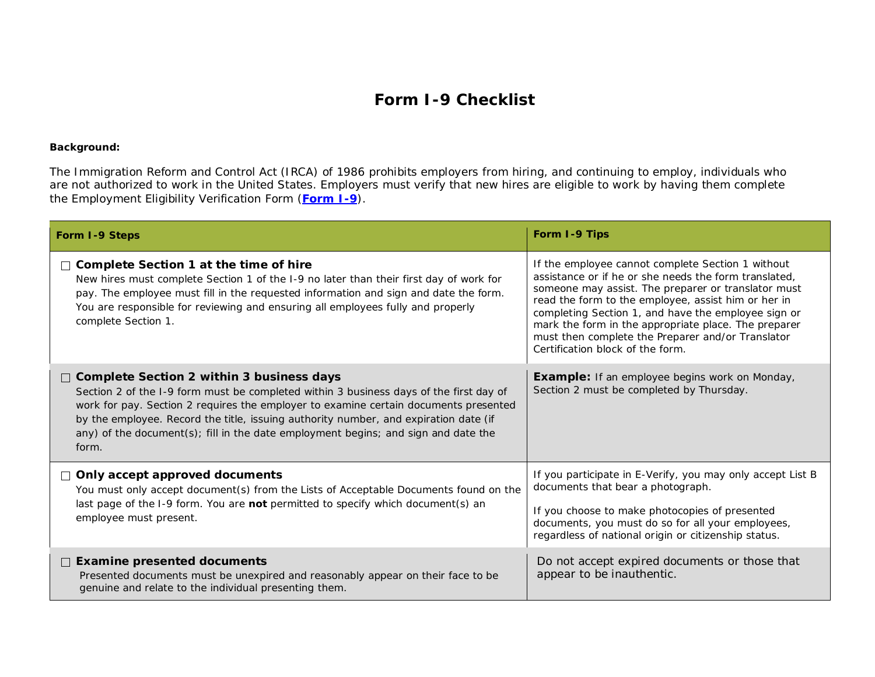# **Form I-9 Checklist**

#### **Background:**

The Immigration Reform and Control Act (IRCA) of 1986 prohibits employers from hiring, and continuing to employ, individuals who are not authorized to work in the United States. Employers must verify that new hires are eligible to work by having them complete the Employment Eligibility Verification Form (**[Form I-9](https://www.hr411.com/library/download.php?hritem=69915)**).

| Form I-9 Steps                                                                                                                                                                                                                                                                                                                                                                                                       | Form I-9 Tips                                                                                                                                                                                                                                                                                                                                                                                                                    |
|----------------------------------------------------------------------------------------------------------------------------------------------------------------------------------------------------------------------------------------------------------------------------------------------------------------------------------------------------------------------------------------------------------------------|----------------------------------------------------------------------------------------------------------------------------------------------------------------------------------------------------------------------------------------------------------------------------------------------------------------------------------------------------------------------------------------------------------------------------------|
| $\Box$ Complete Section 1 at the time of hire<br>New hires must complete Section 1 of the I-9 no later than their first day of work for<br>pay. The employee must fill in the requested information and sign and date the form.<br>You are responsible for reviewing and ensuring all employees fully and properly<br>complete Section 1.                                                                            | If the employee cannot complete Section 1 without<br>assistance or if he or she needs the form translated.<br>someone may assist. The preparer or translator must<br>read the form to the employee, assist him or her in<br>completing Section 1, and have the employee sign or<br>mark the form in the appropriate place. The preparer<br>must then complete the Preparer and/or Translator<br>Certification block of the form. |
| □ Complete Section 2 within 3 business days<br>Section 2 of the I-9 form must be completed within 3 business days of the first day of<br>work for pay. Section 2 requires the employer to examine certain documents presented<br>by the employee. Record the title, issuing authority number, and expiration date (if<br>any) of the document(s); fill in the date employment begins; and sign and date the<br>form. | <b>Example:</b> If an employee begins work on Monday,<br>Section 2 must be completed by Thursday.                                                                                                                                                                                                                                                                                                                                |
| $\Box$ Only accept approved documents<br>You must only accept document(s) from the Lists of Acceptable Documents found on the<br>last page of the I-9 form. You are not permitted to specify which document(s) an<br>employee must present.                                                                                                                                                                          | If you participate in E-Verify, you may only accept List B<br>documents that bear a photograph.<br>If you choose to make photocopies of presented<br>documents, you must do so for all your employees,<br>regardless of national origin or citizenship status.                                                                                                                                                                   |
| $\Box$ Examine presented documents<br>Presented documents must be unexpired and reasonably appear on their face to be<br>genuine and relate to the individual presenting them.                                                                                                                                                                                                                                       | Do not accept expired documents or those that<br>appear to be inauthentic.                                                                                                                                                                                                                                                                                                                                                       |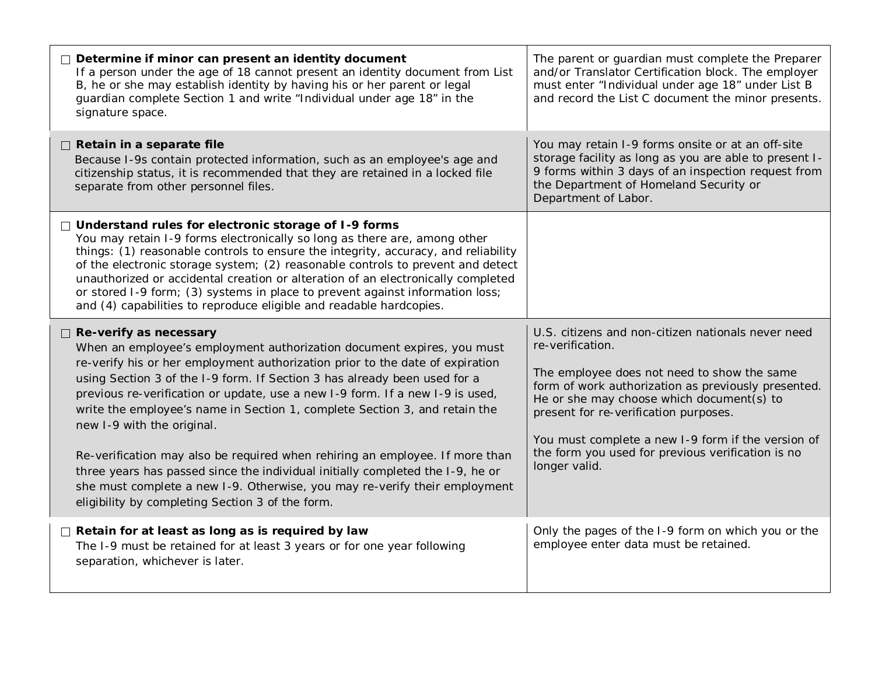| Determine if minor can present an identity document<br>If a person under the age of 18 cannot present an identity document from List<br>B, he or she may establish identity by having his or her parent or legal<br>guardian complete Section 1 and write "Individual under age 18" in the<br>signature space.                                                                                                                                                                                                                                                                                                                                                                                                                                                         | The parent or guardian must complete the Preparer<br>and/or Translator Certification block. The employer<br>must enter "Individual under age 18" under List B<br>and record the List C document the minor presents.                                                                                                                                                                            |
|------------------------------------------------------------------------------------------------------------------------------------------------------------------------------------------------------------------------------------------------------------------------------------------------------------------------------------------------------------------------------------------------------------------------------------------------------------------------------------------------------------------------------------------------------------------------------------------------------------------------------------------------------------------------------------------------------------------------------------------------------------------------|------------------------------------------------------------------------------------------------------------------------------------------------------------------------------------------------------------------------------------------------------------------------------------------------------------------------------------------------------------------------------------------------|
| $\Box$ Retain in a separate file<br>Because I-9s contain protected information, such as an employee's age and<br>citizenship status, it is recommended that they are retained in a locked file<br>separate from other personnel files.                                                                                                                                                                                                                                                                                                                                                                                                                                                                                                                                 | You may retain I-9 forms onsite or at an off-site<br>storage facility as long as you are able to present I-<br>9 forms within 3 days of an inspection request from<br>the Department of Homeland Security or<br>Department of Labor.                                                                                                                                                           |
| $\Box$ Understand rules for electronic storage of I-9 forms<br>You may retain I-9 forms electronically so long as there are, among other<br>things: (1) reasonable controls to ensure the integrity, accuracy, and reliability<br>of the electronic storage system; (2) reasonable controls to prevent and detect<br>unauthorized or accidental creation or alteration of an electronically completed<br>or stored I-9 form; (3) systems in place to prevent against information loss;<br>and (4) capabilities to reproduce eligible and readable hardcopies.                                                                                                                                                                                                          |                                                                                                                                                                                                                                                                                                                                                                                                |
| $\Box$ Re-verify as necessary<br>When an employee's employment authorization document expires, you must<br>re-verify his or her employment authorization prior to the date of expiration<br>using Section 3 of the I-9 form. If Section 3 has already been used for a<br>previous re-verification or update, use a new I-9 form. If a new I-9 is used,<br>write the employee's name in Section 1, complete Section 3, and retain the<br>new I-9 with the original.<br>Re-verification may also be required when rehiring an employee. If more than<br>three years has passed since the individual initially completed the I-9, he or<br>she must complete a new I-9. Otherwise, you may re-verify their employment<br>eligibility by completing Section 3 of the form. | U.S. citizens and non-citizen nationals never need<br>re-verification.<br>The employee does not need to show the same<br>form of work authorization as previously presented.<br>He or she may choose which document(s) to<br>present for re-verification purposes.<br>You must complete a new I-9 form if the version of<br>the form you used for previous verification is no<br>longer valid. |
| $\Box$ Retain for at least as long as is required by law<br>The I-9 must be retained for at least 3 years or for one year following<br>separation, whichever is later.                                                                                                                                                                                                                                                                                                                                                                                                                                                                                                                                                                                                 | Only the pages of the I-9 form on which you or the<br>employee enter data must be retained.                                                                                                                                                                                                                                                                                                    |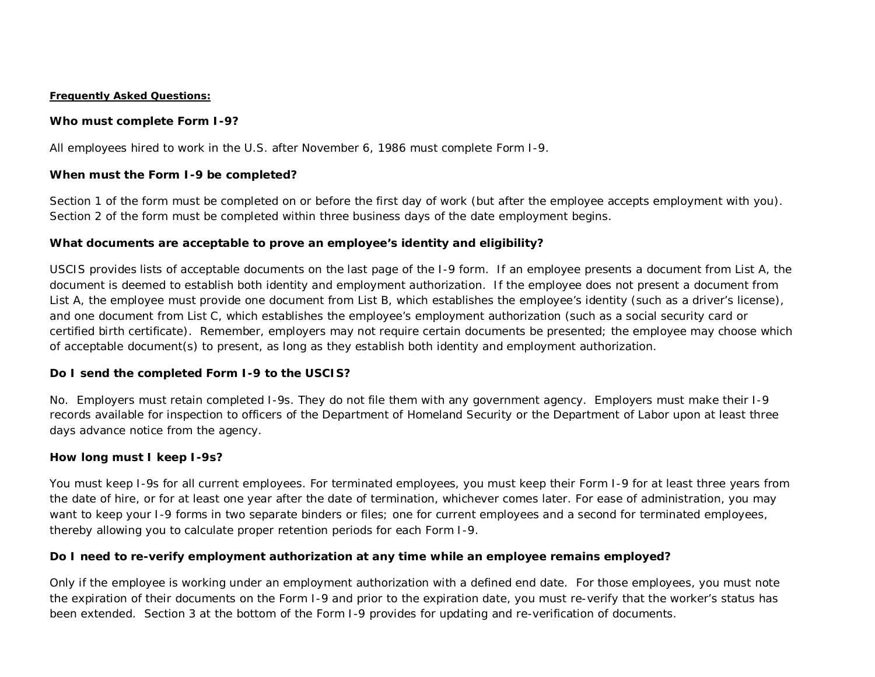#### **Frequently Asked Questions:**

### **Who must complete Form I-9?**

All employees hired to work in the U.S. after November 6, 1986 must complete Form I-9.

# **When must the Form I-9 be completed?**

Section 1 of the form must be completed on or before the first day of work (but after the employee accepts employment with you). Section 2 of the form must be completed within three business days of the date employment begins.

# **What documents are acceptable to prove an employee's identity and eligibility?**

USCIS provides lists of acceptable documents on the last page of the I-9 form. If an employee presents a document from List A, the document is deemed to establish both identity and employment authorization. If the employee does not present a document from List A, the employee must provide one document from List B, which establishes the employee's identity (such as a driver's license), and one document from List C, which establishes the employee's employment authorization (such as a social security card or certified birth certificate). Remember, employers may not require certain documents be presented; the employee may choose which of acceptable document(s) to present, as long as they establish both identity and employment authorization.

### **Do I send the completed Form I-9 to the USCIS?**

No. Employers must retain completed I-9s. They do not file them with any government agency. Employers must make their I-9 records available for inspection to officers of the Department of Homeland Security or the Department of Labor upon at least three days advance notice from the agency.

### **How long must I keep I-9s?**

You must keep I-9s for all current employees. For terminated employees, you must keep their Form I-9 for at least three years from the date of hire, or for at least one year after the date of termination, whichever comes later. For ease of administration, you may want to keep your I-9 forms in two separate binders or files; one for current employees and a second for terminated employees, thereby allowing you to calculate proper retention periods for each Form I-9.

# **Do I need to re-verify employment authorization at any time while an employee remains employed?**

Only if the employee is working under an employment authorization with a defined end date. For those employees, you must note the expiration of their documents on the Form I-9 and prior to the expiration date, you must re-verify that the worker's status has been extended. Section 3 at the bottom of the Form I-9 provides for updating and re-verification of documents.